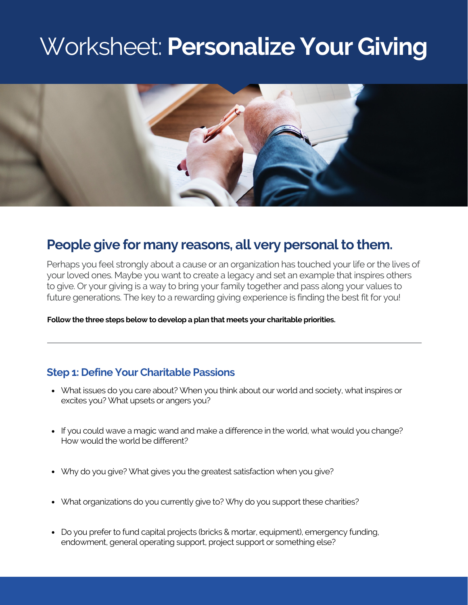# Worksheet: **Personalize Your Giving**



## **People** give for many reasons, all very personal to them.

Perhaps you feel strongly about a cause or an organization has touched your life or the lives of your loved ones. Maybe you want to create a legacy and set an example that inspires others to give. Or your giving is a way to bring your family together and pass along your values to future generations. The key to a rewarding giving experience is finding the best fit for you!

**Follow the three steps below to develop a plan that meets your charitable priorities.**

#### **Step 1: Define Your Charitable Passions**

- What issues do you care about? When you think about our world and society, what inspires or excites you? What upsets or angers you?
- If you could wave a magic wand and make a difference in the world, what would you change? How would the world be different?
- Why do you give? What gives you the greatest satisfaction when you give?
- What organizations do you currently give to? Why do you support these charities?
- Do you prefer to fund capital projects (bricks & mortar, equipment), emergency funding, endowment, general operating support, project support or something else?